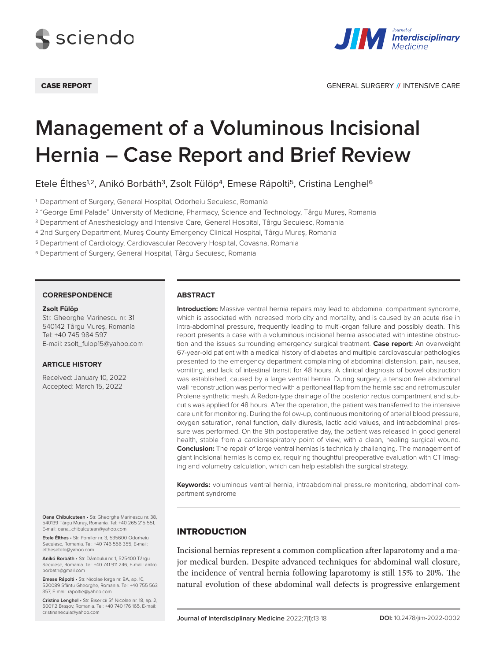



# **Management of a Voluminous Incisional Hernia – Case Report and Brief Review**

Etele Élthes<sup>1,2</sup>, Anikó Borbáth<sup>3</sup>, Zsolt Fülöp<sup>4</sup>, Emese Rápolti<sup>5</sup>, Cristina Lenghel<sup>6</sup>

<sup>1</sup> Department of Surgery, General Hospital, Odorheiu Secuiesc, Romania

<sup>2</sup> "George Emil Palade" University of Medicine, Pharmacy, Science and Technology, Târgu Mureș, Romania

<sup>3</sup> Department of Anesthesiology and Intensive Care, General Hospital, Târgu Secuiesc, Romania

<sup>4</sup> 2nd Surgery Department, Mureş County Emergency Clinical Hospital, Târgu Mureș, Romania

<sup>5</sup> Department of Cardiology, Cardiovascular Recovery Hospital, Covasna, Romania

<sup>6</sup> Department of Surgery, General Hospital, Târgu Secuiesc, Romania

#### **CORRESPONDENCE**

#### **Zsolt Fülöp**

Str. Gheorghe Marinescu nr. 31 540142 Târgu Mureș, Romania Tel: +40 745 984 597 E-mail: zsolt\_fulop15@yahoo.com

#### **ARTICLE HISTORY**

Received: January 10, 2022 Accepted: March 15, 2022

**Oana Chibulcutean** • Str. Gheorghe Marinescu nr. 38, 540139 Târgu Mureș, Romania. Tel: +40 265 215 551, E-mail: oana\_chibulcutean@yahoo.com

**Etele Élthes** • Str. Pomilor nr. 3, 535600 Odorheiu Secuiesc, Romania. Tel: +40 746 556 355, E-mail: elthesetele@yahoo.com

**Anikó Borbáth** • Str. Dâmbului nr. 1, 525400 Târgu Secuiesc, Romania. Tel: +40 741 911 246, E-mail: aniko. borbath@gmail.com

**Emese Rápolti** • Str. Nicolae Iorga nr. 9A, ap. 10, 520089 Sfântu Gheorghe, Romania. Tel: +40 755 563 357, E-mail: rapoltie@yahoo.com

**Cristina Lenghel** • Str. Bisericii Sf. Nicolae nr. 18, ap. 2, 500112 Brașov, Romania. Tel: +40 740 176 165, E-mail: cristinanecula@yahoo.com

#### **ABSTRACT**

**Introduction:** Massive ventral hernia repairs may lead to abdominal compartment syndrome, which is associated with increased morbidity and mortality, and is caused by an acute rise in intra-abdominal pressure, frequently leading to multi-organ failure and possibly death. This report presents a case with a voluminous incisional hernia associated with intestine obstruction and the issues surrounding emergency surgical treatment. **Case report:** An overweight 67-year-old patient with a medical history of diabetes and multiple cardiovascular pathologies presented to the emergency department complaining of abdominal distension, pain, nausea, vomiting, and lack of intestinal transit for 48 hours. A clinical diagnosis of bowel obstruction was established, caused by a large ventral hernia. During surgery, a tension free abdominal wall reconstruction was performed with a peritoneal flap from the hernia sac and retromuscular Prolene synthetic mesh. A Redon-type drainage of the posterior rectus compartment and subcutis was applied for 48 hours. After the operation, the patient was transferred to the intensive care unit for monitoring. During the follow-up, continuous monitoring of arterial blood pressure, oxygen saturation, renal function, daily diuresis, lactic acid values, and intraabdominal pressure was performed. On the 9th postoperative day, the patient was released in good general health, stable from a cardiorespiratory point of view, with a clean, healing surgical wound. **Conclusion:** The repair of large ventral hernias is technically challenging. The management of giant incisional hernias is complex, requiring thoughtful preoperative evaluation with CT imaging and volumetry calculation, which can help establish the surgical strategy.

**Keywords:** voluminous ventral hernia, intraabdominal pressure monitoring, abdominal compartment syndrome

## **INTRODUCTION**

Incisional hernias represent a common complication after laparotomy and a major medical burden. Despite advanced techniques for abdominal wall closure, the incidence of ventral hernia following laparotomy is still 15% to 20%. The natural evolution of these abdominal wall defects is progressive enlargement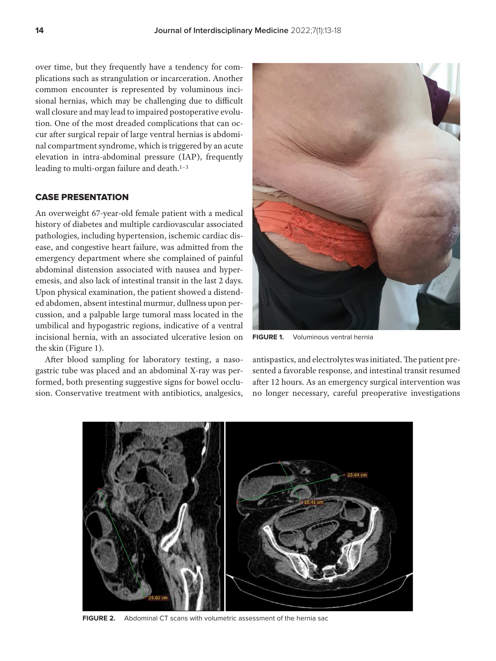over time, but they frequently have a tendency for complications such as strangulation or incarceration. Another common encounter is represented by voluminous incisional hernias, which may be challenging due to difficult wall closure and may lead to impaired postoperative evolution. One of the most dreaded complications that can occur after surgical repair of large ventral hernias is abdominal compartment syndrome, which is triggered by an acute elevation in intra-abdominal pressure (IAP), frequently leading to multi-organ failure and death.<sup>1-3</sup>

# CASE PRESEnTATIOn

An overweight 67-year-old female patient with a medical history of diabetes and multiple cardiovascular associated pathologies, including hypertension, ischemic cardiac disease, and congestive heart failure, was admitted from the emergency department where she complained of painful abdominal distension associated with nausea and hyperemesis, and also lack of intestinal transit in the last 2 days. Upon physical examination, the patient showed a distended abdomen, absent intestinal murmur, dullness upon percussion, and a palpable large tumoral mass located in the umbilical and hypogastric regions, indicative of a ventral incisional hernia, with an associated ulcerative lesion on the skin (Figure 1).

After blood sampling for laboratory testing, a nasogastric tube was placed and an abdominal X-ray was performed, both presenting suggestive signs for bowel occlusion. Conservative treatment with antibiotics, analgesics,



**FIGURE 1.** Voluminous ventral hernia

antispastics, and electrolytes was initiated. The patient presented a favorable response, and intestinal transit resumed after 12 hours. As an emergency surgical intervention was no longer necessary, careful preoperative investigations



**FIGURE 2.** Abdominal CT scans with volumetric assessment of the hernia sac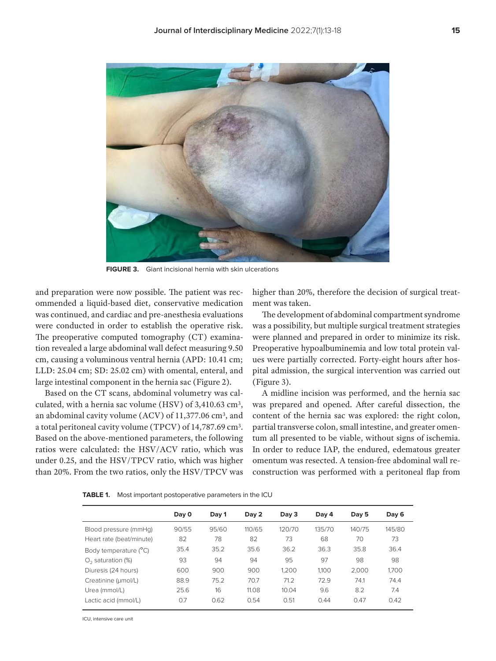

**FIGURE 3.** Giant incisional hernia with skin ulcerations

and preparation were now possible. The patient was recommended a liquid-based diet, conservative medication was continued, and cardiac and pre-anesthesia evaluations were conducted in order to establish the operative risk. The preoperative computed tomography (CT) examination revealed a large abdominal wall defect measuring 9.50 cm, causing a voluminous ventral hernia (APD: 10.41 cm; LLD: 25.04 cm; SD: 25.02 cm) with omental, enteral, and large intestinal component in the hernia sac (Figure 2).

Based on the CT scans, abdominal volumetry was calculated, with a hernia sac volume (HSV) of 3,410.63 cm3, an abdominal cavity volume (ACV) of 11,377.06 cm3, and a total peritoneal cavity volume (TPCV) of 14,787.69 cm3. Based on the above-mentioned parameters, the following ratios were calculated: the HSV/ACV ratio, which was under 0.25, and the HSV/TPCV ratio, which was higher than 20%. From the two ratios, only the HSV/TPCV was higher than 20%, therefore the decision of surgical treatment was taken.

The development of abdominal compartment syndrome was a possibility, but multiple surgical treatment strategies were planned and prepared in order to minimize its risk. Preoperative hypoalbuminemia and low total protein values were partially corrected. Forty-eight hours after hospital admission, the surgical intervention was carried out (Figure 3).

A midline incision was performed, and the hernia sac was prepared and opened. After careful dissection, the content of the hernia sac was explored: the right colon, partial transverse colon, small intestine, and greater omentum all presented to be viable, without signs of ischemia. In order to reduce IAP, the endured, edematous greater omentum was resected. A tension-free abdominal wall reconstruction was performed with a peritoneal flap from

|                          | Day 0 | Day 1 | Day 2  | Day 3  | Day 4  | Day 5  | Day 6  |
|--------------------------|-------|-------|--------|--------|--------|--------|--------|
| Blood pressure (mmHq)    | 90/55 | 95/60 | 110/65 | 120/70 | 135/70 | 140/75 | 145/80 |
| Heart rate (beat/minute) | 82    | 78    | 82     | 73     | 68     | 70     | 73     |
| Body temperature (°C)    | 35.4  | 35.2  | 35.6   | 36.2   | 36.3   | 35.8   | 36.4   |
| $O2$ saturation (%)      | 93    | 94    | 94     | 95     | 97     | 98     | 98     |
| Diuresis (24 hours)      | 600   | 900   | 900    | 1.200  | 1.100  | 2.000  | 1,700  |
| Creatinine (µmol/L)      | 88.9  | 75.2  | 70.7   | 71.2   | 72.9   | 74.1   | 74.4   |
| Urea (mmol/L)            | 25.6  | 16    | 11.08  | 10.04  | 9.6    | 8.2    | 7.4    |
| Lactic acid (mmol/L)     | 0.7   | 0.62  | 0.54   | 0.51   | 0.44   | 0.47   | 0.42   |

**TABLE 1.** Most important postoperative parameters in the ICU

ICU, intensive care unit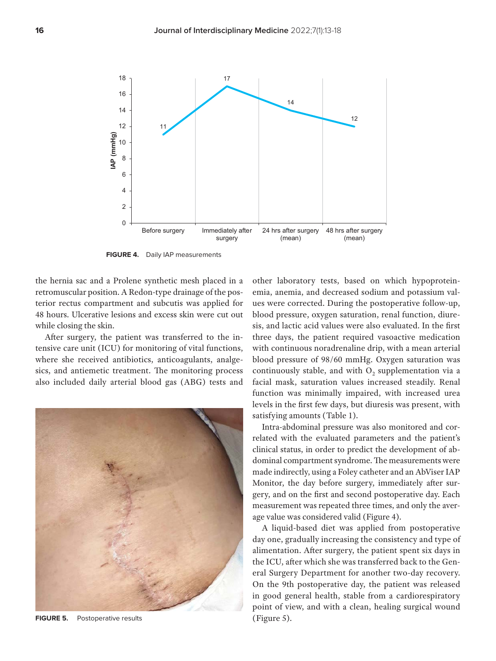

**FIGURE 4.** Daily IAP measurements

the hernia sac and a Prolene synthetic mesh placed in a retromuscular position. A Redon-type drainage of the posterior rectus compartment and subcutis was applied for 48 hours. Ulcerative lesions and excess skin were cut out while closing the skin.

After surgery, the patient was transferred to the intensive care unit (ICU) for monitoring of vital functions, where she received antibiotics, anticoagulants, analgesics, and antiemetic treatment. The monitoring process also included daily arterial blood gas (ABG) tests and



**FIGURE 5.** Postoperative results

other laboratory tests, based on which hypoproteinemia, anemia, and decreased sodium and potassium values were corrected. During the postoperative follow-up, blood pressure, oxygen saturation, renal function, diuresis, and lactic acid values were also evaluated. In the first three days, the patient required vasoactive medication with continuous noradrenaline drip, with a mean arterial blood pressure of 98/60 mmHg. Oxygen saturation was continuously stable, and with  $O<sub>2</sub>$  supplementation via a facial mask, saturation values increased steadily. Renal function was minimally impaired, with increased urea levels in the first few days, but diuresis was present, with satisfying amounts (Table 1).

Intra-abdominal pressure was also monitored and correlated with the evaluated parameters and the patient's clinical status, in order to predict the development of abdominal compartment syndrome. The measurements were made indirectly, using a Foley catheter and an AbViser IAP Monitor, the day before surgery, immediately after surgery, and on the first and second postoperative day. Each measurement was repeated three times, and only the average value was considered valid (Figure 4).

A liquid-based diet was applied from postoperative day one, gradually increasing the consistency and type of alimentation. After surgery, the patient spent six days in the ICU, after which she was transferred back to the General Surgery Department for another two-day recovery. On the 9th postoperative day, the patient was released in good general health, stable from a cardiorespiratory point of view, and with a clean, healing surgical wound (Figure 5).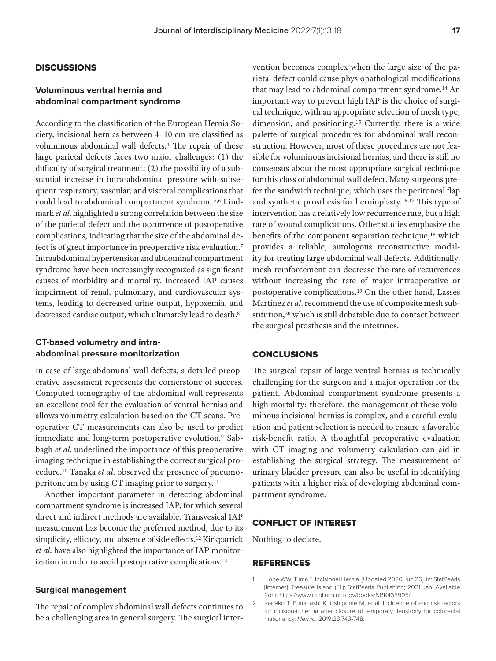## **DISCUSSIONS**

# **Voluminous ventral hernia and abdominal compartment syndrome**

According to the classification of the European Hernia Society, incisional hernias between 4–10 cm are classified as voluminous abdominal wall defects.4 The repair of these large parietal defects faces two major challenges: (1) the difficulty of surgical treatment; (2) the possibility of a substantial increase in intra-abdominal pressure with subsequent respiratory, vascular, and visceral complications that could lead to abdominal compartment syndrome.5,6 Lindmark *et al*. highlighted a strong correlation between the size of the parietal defect and the occurrence of postoperative complications, indicating that the size of the abdominal defect is of great importance in preoperative risk evaluation.7 Intraabdominal hypertension and abdominal compartment syndrome have been increasingly recognized as significant causes of morbidity and mortality. Increased IAP causes impairment of renal, pulmonary, and cardiovascular systems, leading to decreased urine output, hypoxemia, and decreased cardiac output, which ultimately lead to death.<sup>8</sup>

# **CT-based volumetry and intraabdominal pressure monitorization**

In case of large abdominal wall defects, a detailed preoperative assessment represents the cornerstone of success. Computed tomography of the abdominal wall represents an excellent tool for the evaluation of ventral hernias and allows volumetry calculation based on the CT scans. Preoperative CT measurements can also be used to predict immediate and long-term postoperative evolution.<sup>9</sup> Sabbagh *et al*. underlined the importance of this preoperative imaging technique in establishing the correct surgical procedure.10 Tanaka *et al*. observed the presence of pneumoperitoneum by using CT imaging prior to surgery.11

Another important parameter in detecting abdominal compartment syndrome is increased IAP, for which several direct and indirect methods are available. Transvesical IAP measurement has become the preferred method, due to its simplicity, efficacy, and absence of side effects.12 Kirkpatrick *et al*. have also highlighted the importance of IAP monitorization in order to avoid postoperative complications.13

## **Surgical management**

The repair of complex abdominal wall defects continues to be a challenging area in general surgery. The surgical inter-

vention becomes complex when the large size of the parietal defect could cause physiopathological modifications that may lead to abdominal compartment syndrome.14 An important way to prevent high IAP is the choice of surgical technique, with an appropriate selection of mesh type, dimension, and positioning.15 Currently, there is a wide palette of surgical procedures for abdominal wall reconstruction. However, most of these procedures are not feasible for voluminous incisional hernias, and there is still no consensus about the most appropriate surgical technique for this class of abdominal wall defect. Many surgeons prefer the sandwich technique, which uses the peritoneal flap and synthetic prosthesis for hernioplasty.16,17 This type of intervention has a relatively low recurrence rate, but a high rate of wound complications. Other studies emphasize the benefits of the component separation technique,<sup>18</sup> which provides a reliable, autologous reconstructive modality for treating large abdominal wall defects. Additionally, mesh reinforcement can decrease the rate of recurrences without increasing the rate of major intraoperative or postoperative complications.19 On the other hand, Lasses Martínez *et al*. recommend the use of composite mesh substitution,<sup>20</sup> which is still debatable due to contact between the surgical prosthesis and the intestines.

### **CONCLUSIONS**

The surgical repair of large ventral hernias is technically challenging for the surgeon and a major operation for the patient. Abdominal compartment syndrome presents a high mortality; therefore, the management of these voluminous incisional hernias is complex, and a careful evaluation and patient selection is needed to ensure a favorable risk-benefit ratio. A thoughtful preoperative evaluation with CT imaging and volumetry calculation can aid in establishing the surgical strategy. The measurement of urinary bladder pressure can also be useful in identifying patients with a higher risk of developing abdominal compartment syndrome.

## CONFLICT OF INTEREST

Nothing to declare.

## **REFERENCES**

- 1. Hope WW, Tuma F. Incisional Hernia. [Updated 2020 Jun 26]. In: StatPearls [Internet]. Treasure Island (FL): StatPearls Publishing; 2021 Jan. Available from: https://www.ncbi.nlm.nih.gov/books/NBK435995/
- 2. Kaneko T, Funahashi K, Ushigome M, et al. Incidence of and risk factors for incisional hernia after closure of temporary ileostomy for colorectal malignancy. Hernia. 2019;23:743-748.